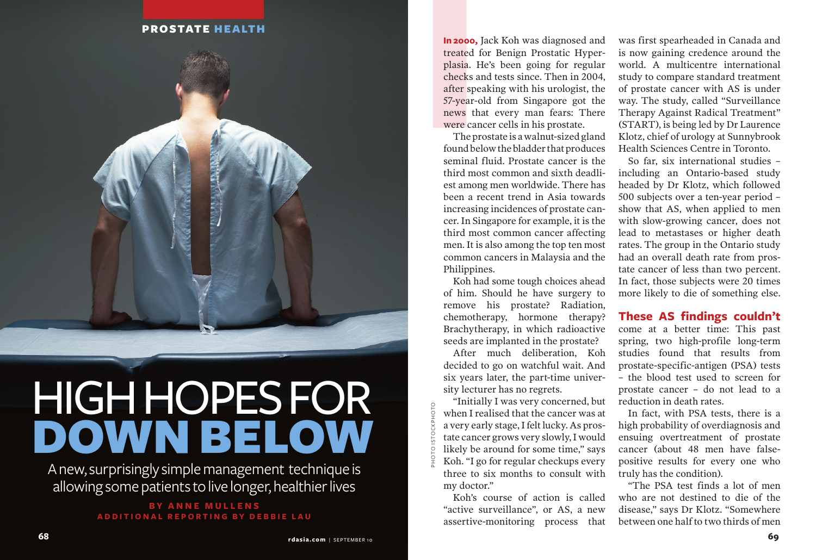#### PROSTATE HEALTH



# **HIGH HOPES FOR** DOWN BELOW

A new, surprisingly simple manage ment technique is allowing some patients to live longer, healthier lives

#### **By Anne mullens Addition a l reporting b y D e bb ie La u**

**In 2000,**<br>treated 1<br>plasia. F<br>checks a<br>after spe<br>57-year-comes the were cared to the produced seminal<br>seminal third mo **In 2000,** Jack Koh was diagnosed and treated for Benign Prostatic Hyperplasia. He's been going for regular checks and tests since. Then in 2004, after speaking with his urologist, the 57-year-old from Singapore got the news that every man fears: There were cancer cells in his prostate.

The prostate is a walnut-sized gland found below the bladder that produces seminal fluid. Prostate cancer is the third most common and sixth deadliest among men worldwide. There has been a recent trend in Asia towards increasing incidences of prostate cancer. In Singapore for example, it is the third most common cancer affecting men. It is also among the top ten most common cancers in Malaysia and the Philippines.

Koh had some tough choices ahead of him. Should he have surgery to remove his prostate? Radiation, chemotherapy, hormone therapy? Brachytherapy, in which radioactive seeds are implanted in the prostate?

After much deliberation, Koh decided to go on watchful wait. And six years later, the part-time university lecturer has no regrets.

"Initially I was very concerned, but when I realised that the cancer was at a very early stage, I felt lucky. As prostate cancer grows very slowly, I would likely be around for some time," says Koh. "I go for regular checkups every three to six months to consult with my doctor."

photo istockphoto

Koh's course of action is called "active surveillance", or AS, a new assertive-monitoring process that was first spearheaded in Canada and is now gaining credence around the world. A multicentre international study to compare standard treatment of prostate cancer with AS is under way. The study, called "Surveillance Therapy Against Radical Treatment" (START), is being led by Dr Laurence Klotz, chief of urology at Sunnybrook Health Sciences Centre in Toronto.

So far, six international studies – including an Ontario-based study headed by Dr Klotz, which followed 500 subjects over a ten-year period – show that AS, when applied to men with slow-growing cancer, does not lead to metastases or higher death rates. The group in the Ontario study had an overall death rate from prostate cancer of less than two percent. In fact, those subjects were 20 times more likely to die of something else.

**These AS findings couldn't**  come at a better time: This past spring, two high-profile long-term studies found that results from prostate-specific-antigen (PSA) tests – the blood test used to screen for prostate cancer – do not lead to a reduction in death rates.

In fact, with PSA tests, there is a high probability of overdiagnosis and ensuing overtreatment of prostate cancer (about 48 men have falsepositive results for every one who truly has the condition).

"The PSA test finds a lot of men who are not destined to die of the disease," says Dr Klotz. "Somewhere between one half to two thirds of men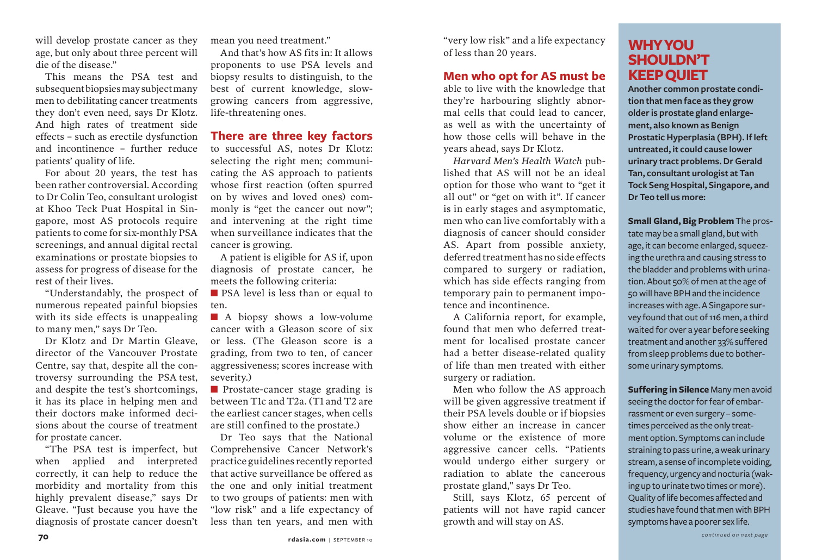will develop prostate cancer as they age, but only about three percent will die of the disease."

This means the PSA test and subsequent biopsies may subject many men to debilitating cancer treatments they don't even need, says Dr Klotz. And high rates of treatment side effects – such as erectile dysfunction and incontinence – further reduce patients' quality of life.

For about 20 years, the test has been rather controversial. According to Dr Colin Teo, consultant urologist at Khoo Teck Puat Hospital in Singapore, most AS protocols require patients to come for six-monthly PSA screenings, and annual digital rectal examinations or prostate biopsies to assess for progress of disease for the rest of their lives.

"Understandably, the prospect of numerous repeated painful biopsies with its side effects is unappealing to many men," says Dr Teo.

Dr Klotz and Dr Martin Gleave, director of the Vancouver Prostate Centre, say that, despite all the controversy surrounding the PSA test, and despite the test's shortcomings, it has its place in helping men and their doctors make informed decisions about the course of treatment for prostate cancer.

"The PSA test is imperfect, but when applied and interpreted correctly, it can help to reduce the morbidity and mortality from this highly prevalent disease," says Dr Gleave. "Just because you have the diagnosis of prostate cancer doesn't mean you need treatment."

And that's how AS fits in: It allows proponents to use PSA levels and biopsy results to distinguish, to the best of current knowledge, slowgrowing cancers from aggressive, life-threatening ones.

## **There are three key factors**

to successful AS, notes Dr Klotz: selecting the right men; communicating the AS approach to patients whose first reaction (often spurred on by wives and loved ones) commonly is "get the cancer out now"; and intervening at the right time when surveillance indicates that the cancer is growing.

A patient is eligible for AS if, upon diagnosis of prostate cancer, he meets the following criteria:

**n** PSA level is less than or equal to ten.

**n** A biopsy shows a low-volume cancer with a Gleason score of six or less. (The Gleason score is a grading, from two to ten, of cancer aggressiveness; scores increase with severity.)

 $\blacksquare$  Prostate-cancer stage grading is between T1c and T2a. (T1 and T2 are the earliest cancer stages, when cells are still confined to the prostate.)

Dr Teo says that the National Comprehensive Cancer Network's practice guidelines recently reported that active surveillance be offered as the one and only initial treatment to two groups of patients: men with "low risk" and a life expectancy of less than ten years, and men with "very low risk" and a life expectancy of less than 20 years.

### **Men who opt for AS must be**

able to live with the knowledge that they're harbouring slightly abnormal cells that could lead to cancer, as well as with the uncertainty of how those cells will behave in the years ahead, says Dr Klotz.

*Harvard Men's Health Watch* published that AS will not be an ideal option for those who want to "get it all out" or "get on with it". If cancer is in early stages and asymptomatic, men who can live comfortably with a diagnosis of cancer should consider AS. Apart from possible anxiety, deferred treatment has no side effects compared to surgery or radiation, which has side effects ranging from temporary pain to permanent impotence and incontinence.

A California report, for example, found that men who deferred treatment for localised prostate cancer had a better disease-related quality of life than men treated with either surgery or radiation.

Men who follow the AS approach will be given aggressive treatment if their PSA levels double or if biopsies show either an increase in cancer volume or the existence of more aggressive cancer cells. "Patients would undergo either surgery or radiation to ablate the cancerous prostate gland," says Dr Teo.

Still, says Klotz, 65 percent of patients will not have rapid cancer growth and will stay on AS.

# **Why You Shouldn't Keep Quiet**

**Another common prostate condition that men face as they grow older is prostate gland enlargement, also known as Benign Prostatic Hyperplasia (BPH). If left untreated, it could cause lower urinary tract problems. Dr Gerald Tan, consultant urologist at Tan Tock Seng Hospital, Singapore, and Dr Teo tell us more:**

**Small Gland, Big Problem** The prostate may be a small gland, but with age, it can become enlarged, squeezing the urethra and causing stress to the bladder and problems with urination. About 50% of men at the age of 50 will have BPH and the incidence increases with age. A Singapore survey found that out of 116 men, a third waited for over a year before seeking treatment and another 33% suffered from sleep problems due to bothersome urinary symptoms.

**Suffering in Silence** Many men avoid seeing the doctor for fear of embarrassment or even surgery – sometimes perceived as the only treatment option. Symptoms can include straining to pass urine, a weak urinary stream, a sense of incomplete voiding, frequency, urgency and nocturia (waking up to urinate two times or more). Quality of life becomes affected and studies have found that men with BPH symptoms have a poorer sex life.